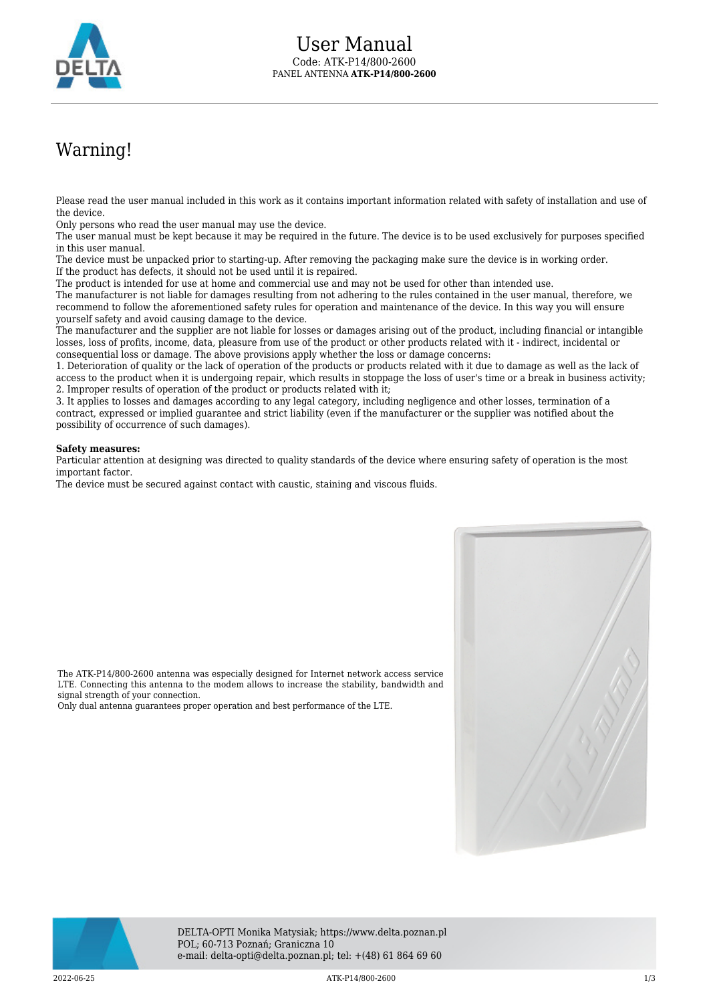

## Warning!

Please read the user manual included in this work as it contains important information related with safety of installation and use of the device.

Only persons who read the user manual may use the device.

The user manual must be kept because it may be required in the future. The device is to be used exclusively for purposes specified in this user manual.

The device must be unpacked prior to starting-up. After removing the packaging make sure the device is in working order. If the product has defects, it should not be used until it is repaired.

The product is intended for use at home and commercial use and may not be used for other than intended use.

The manufacturer is not liable for damages resulting from not adhering to the rules contained in the user manual, therefore, we recommend to follow the aforementioned safety rules for operation and maintenance of the device. In this way you will ensure yourself safety and avoid causing damage to the device.

The manufacturer and the supplier are not liable for losses or damages arising out of the product, including financial or intangible losses, loss of profits, income, data, pleasure from use of the product or other products related with it - indirect, incidental or consequential loss or damage. The above provisions apply whether the loss or damage concerns:

1. Deterioration of quality or the lack of operation of the products or products related with it due to damage as well as the lack of access to the product when it is undergoing repair, which results in stoppage the loss of user's time or a break in business activity; 2. Improper results of operation of the product or products related with it;

3. It applies to losses and damages according to any legal category, including negligence and other losses, termination of a contract, expressed or implied guarantee and strict liability (even if the manufacturer or the supplier was notified about the possibility of occurrence of such damages).

## **Safety measures:**

signal strength of your connection.

Particular attention at designing was directed to quality standards of the device where ensuring safety of operation is the most important factor.

The device must be secured against contact with caustic, staining and viscous fluids.

The ATK-P14/800-2600 antenna was especially designed for Internet network access service LTE. Connecting this antenna to the modem allows to increase the stability, bandwidth and

Only dual antenna guarantees proper operation and best performance of the LTE.



DELTA-OPTI Monika Matysiak; https://www.delta.poznan.pl POL; 60-713 Poznań; Graniczna 10 e-mail: delta-opti@delta.poznan.pl; tel: +(48) 61 864 69 60

 $\text{ATK-P14/800-2600}$  and the contract of the contract of the contract of the contract of the contract of the contract of the contract of the contract of the contract of the contract of the contract of the contract of the c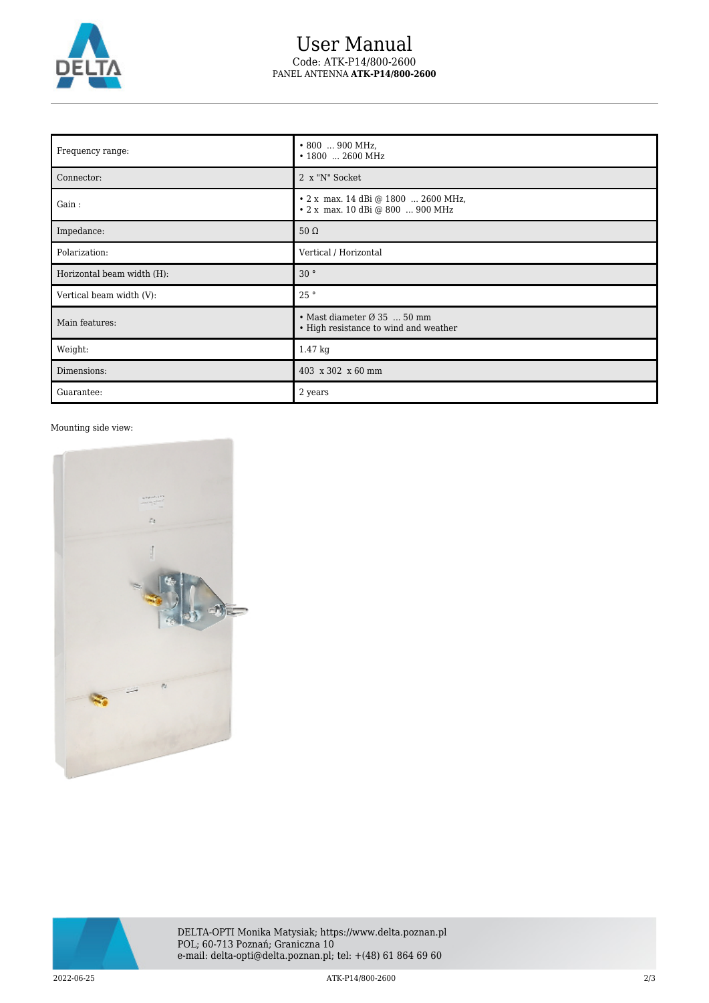

## User Manual Code: ATK-P14/800-2600 PANEL ANTENNA **ATK-P14/800-2600**

| Frequency range:           | $\cdot$ 800  900 MHz,<br>• 1800  2600 MHz                                                |
|----------------------------|------------------------------------------------------------------------------------------|
| Connector:                 | 2 x "N" Socket                                                                           |
| Gain:                      | • 2 x max. 14 dBi @ 1800  2600 MHz,<br>• 2 x max. 10 dBi @ 800  900 MHz                  |
| Impedance:                 | $50 \Omega$                                                                              |
| Polarization:              | Vertical / Horizontal                                                                    |
| Horizontal beam width (H): | 30 <sup>o</sup>                                                                          |
| Vertical beam width (V):   | 25°                                                                                      |
| Main features:             | $\bullet$ Mast diameter $\varnothing$ 35  50 mm<br>• High resistance to wind and weather |
| Weight:                    | 1.47 kg                                                                                  |
| Dimensions:                | 403 x 302 x 60 mm                                                                        |
| Guarantee:                 | 2 years                                                                                  |

## Mounting side view: